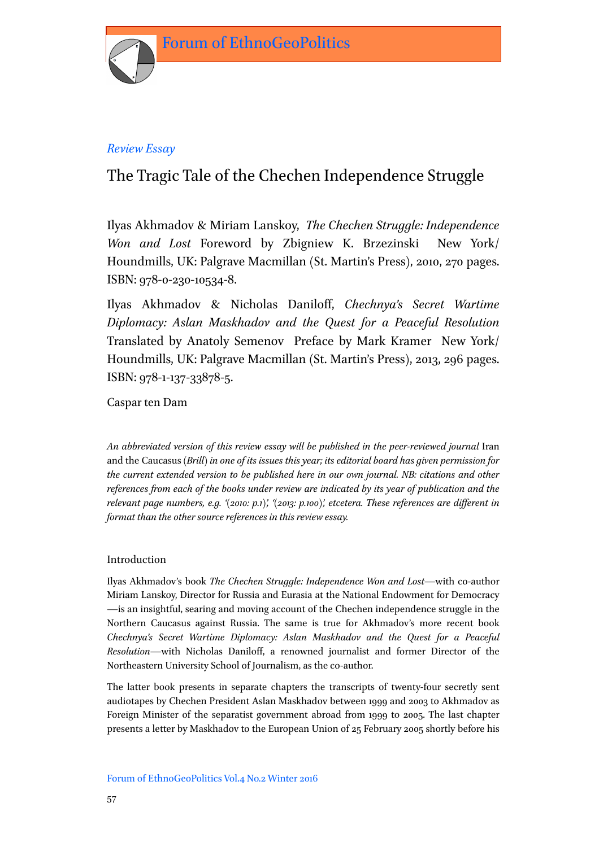

# *Review Essay*

# The Tragic Tale of the Chechen Independence Struggle

Ilyas Akhmadov & Miriam Lanskoy, *The Chechen Struggle: Independence Won and Lost* Foreword by Zbigniew K. Brzezinski New York/ Houndmills, UK: Palgrave Macmillan (St. Martin's Press), 2010, 270 pages. ISBN: 978-0-230-10534-8.

Ilyas Akhmadov & Nicholas Daniloff, *Chechnya's Secret Wartime Diplomacy: Aslan Maskhadov and the Quest for a Peaceful Resolution* Translated by Anatoly Semenov Preface by Mark Kramer New York/ Houndmills, UK: Palgrave Macmillan (St. Martin's Press), 2013, 296 pages. ISBN: 978-1-137-33878-5.

Caspar ten Dam

*An abbreviated version of this review essay will be published in the peer-reviewed journal* Iran and the Caucasus *(Brill) in one of its issues this year; itseditorial board has given permission for the current extended version to be published here in our own journal. NB: citations and other references from each of the books under review are indicated by its year of publication and the relevant page numbers, e.g. '(2010: p.1)', '(2013: p.100)', etcetera. These references are different in format than the other source references in this review essay.*

# Introduction

Ilyas Akhmadov's book *The Chechen Struggle: Independence Won and Lost*—with co-author Miriam Lanskoy, Director for Russia and Eurasia at the National Endowment for Democracy —is an insightful, searing and moving account of the Chechen independence struggle in the Northern Caucasus against Russia. The same is true for Akhmadov's more recent book *Chechnya's Secret Wartime Diplomacy: Aslan Maskhadov and the Quest for a Peaceful Resolution*—with Nicholas Daniloff, a renowned journalist and former Director of the Northeastern University School of Journalism, as the co-author.

The latter book presents in separate chapters the transcripts of twenty-four secretly sent audiotapes by Chechen President Aslan Maskhadov between 1999 and 2003 to Akhmadov as Foreign Minister of the separatist government abroad from 1999 to 2005. The last chapter presents a letter by Maskhadov to the European Union of 25 February 2005 shortly before his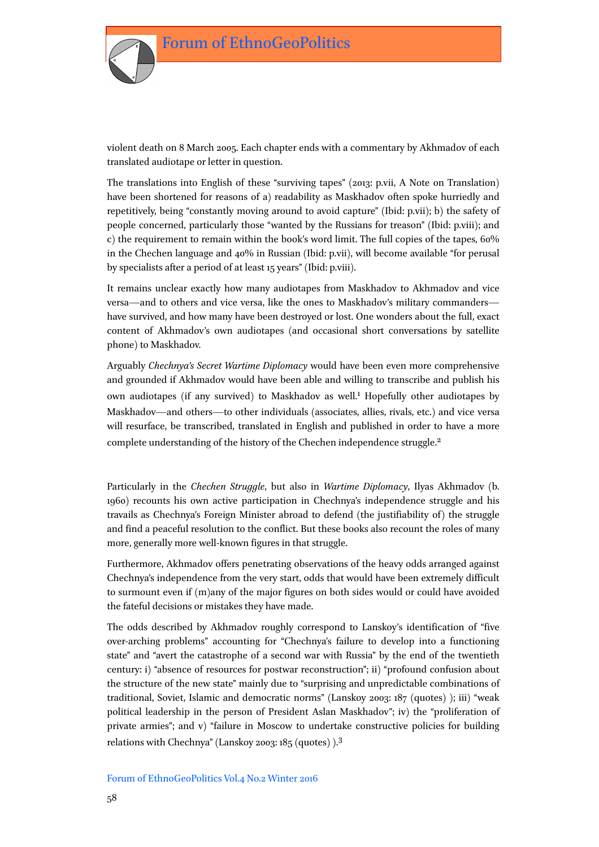

violent death on 8 March 2005. Each chapter ends with a commentary by Akhmadov of each translated audiotape or letter in question.

The translations into English of these "surviving tapes" (2013: p.vii, A Note on Translation) have been shortened for reasons of a) readability as Maskhadov often spoke hurriedly and repetitively, being "constantly moving around to avoid capture" (Ibid: p.vii); b) the safety of people concerned, particularly those "wanted by the Russians for treason" (Ibid: p.viii); and c) the requirement to remain within the book's word limit. The full copies of the tapes, 60% in the Chechen language and 40% in Russian (Ibid: p.vii), will become available "for perusal by specialists after a period of at least 15 years" (Ibid: p.viii).

It remains unclear exactly how many audiotapes from Maskhadov to Akhmadov and vice versa—and to others and vice versa, like the ones to Maskhadov's military commanders have survived, and how many have been destroyed or lost. One wonders about the full, exact content of Akhmadov's own audiotapes (and occasional short conversations by satellite phone) to Maskhadov.

Arguably *Chechnya's Secret Wartime Diplomacy* would have been even more comprehensive and grounded if Akhmadov would have been able and willing to transcribe and publish his own audiotapes (if any survived) to Maskhadov as well.<sup>1</sup> Hopefully other audiotapes by Maskhadov—and others—to other individuals (associates, allies, rivals, etc.) and vice versa will resurface, be transcribed, translated in English and published in order to have a more complete understanding of the history of the Chechen independence struggle.<sup>2</sup>

Particularly in the *Chechen Struggle*, but also in *Wartime Diplomacy*, Ilyas Akhmadov (b. 1960) recounts his own active participation in Chechnya's independence struggle and his travails as Chechnya's Foreign Minister abroad to defend (the justifiability of) the struggle and find a peaceful resolution to the conflict. But these books also recount the roles of many more, generally more well-known figures in that struggle.

Furthermore, Akhmadov offers penetrating observations of the heavy odds arranged against Chechnya's independence from the very start, odds that would have been extremely difficult to surmount even if (m)any of the major figures on both sides would or could have avoided the fateful decisions or mistakes they have made.

The odds described by Akhmadov roughly correspond to Lanskoy's identification of "five over-arching problems" accounting for "Chechnya's failure to develop into a functioning state" and "avert the catastrophe of a second war with Russia" by the end of the twentieth century: i) "absence of resources for postwar reconstruction"; ii) "profound confusion about the structure of the new state" mainly due to "surprising and unpredictable combinations of traditional, Soviet, Islamic and democratic norms" (Lanskoy 2003: 187 (quotes) ); iii) "weak political leadership in the person of President Aslan Maskhadov"; iv) the "proliferation of private armies"; and v) "failure in Moscow to undertake constructive policies for building relations with Chechnya" (Lanskoy 2003: 185 (quotes) ).3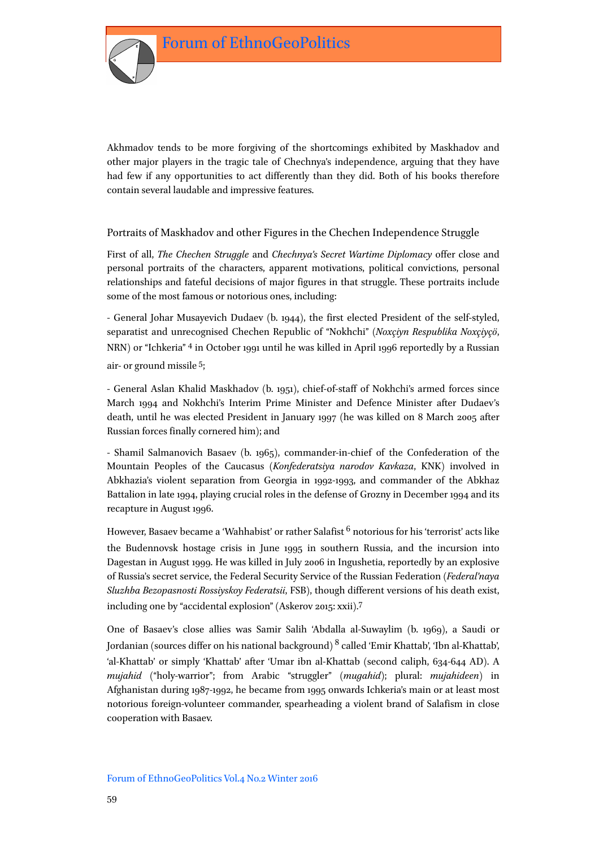

Akhmadov tends to be more forgiving of the shortcomings exhibited by Maskhadov and other major players in the tragic tale of Chechnya's independence, arguing that they have had few if any opportunities to act differently than they did. Both of his books therefore contain several laudable and impressive features.

# Portraits of Maskhadov and other Figures in the Chechen Independence Struggle

First of all, *The Chechen Struggle* and *Chechnya's Secret Wartime Diplomacy* offer close and personal portraits of the characters, apparent motivations, political convictions, personal relationships and fateful decisions of major figures in that struggle. These portraits include some of the most famous or notorious ones, including:

- General Johar Musayevich Dudaev (b. 1944), the first elected President of the self-styled, separatist and unrecognised Chechen Republic of "Nokhchi" (*Noxçiyn Respublika Noxçiyçö*, NRN) or "Ichkeria" 4 in October 1991 until he was killed in April 1996 reportedly by a Russian air- or ground missile 5;

- General Aslan Khalid Maskhadov (b. 1951), chief-of-staff of Nokhchi's armed forces since March 1994 and Nokhchi's Interim Prime Minister and Defence Minister after Dudaev's death, until he was elected President in January 1997 (he was killed on 8 March 2005 after Russian forces finally cornered him); and

- Shamil Salmanovich Basaev (b. 1965), commander-in-chief of the Confederation of the Mountain Peoples of the Caucasus (*Konfederatsiya narodov Kavkaza*, KNK) involved in Abkhazia's violent separation from Georgia in 1992-1993, and commander of the Abkhaz Battalion in late 1994, playing crucial roles in the defense of Grozny in December 1994 and its recapture in August 1996.

However, Basaev became a 'Wahhabist' or rather Salafist<sup>6</sup> notorious for his 'terrorist' acts like the Budennovsk hostage crisis in June 1995 in southern Russia, and the incursion into Dagestan in August 1999. He was killed in July 2006 in Ingushetia, reportedly by an explosive of Russia's secret service, the Federal Security Service of the Russian Federation (*Federal'naya Sluzhba Bezopasnosti Rossiyskoy Federatsii*, FSB), though different versions of his death exist, including one by "accidental explosion" (Askerov 2015: xxii).7

One of Basaev's close allies was Samir Salih 'Abdalla al-Suwaylim (b. 1969), a Saudi or Jordanian (sources differ on his national background) <sup>8</sup> called 'Emir Khattab', 'Ibn al-Khattab', 'al-Khattab' or simply 'Khattab' after 'Umar ibn al-Khattab (second caliph, 634-644 AD). A *mujahid* ("holy-warrior"; from Arabic "struggler" (*mugahid*); plural: *mujahideen*) in Afghanistan during 1987-1992, he became from 1995 onwards Ichkeria's main or at least most notorious foreign-volunteer commander, spearheading a violent brand of Salafism in close cooperation with Basaev.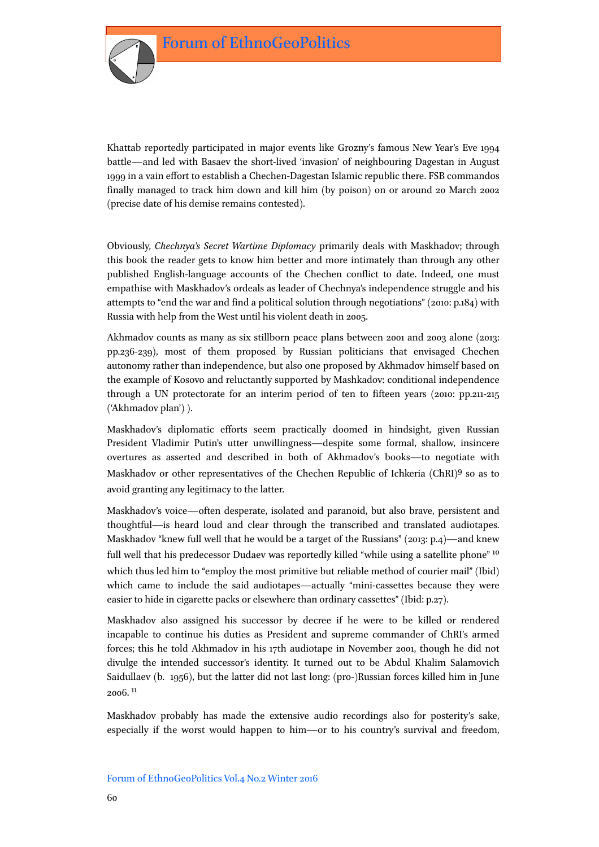

Khattab reportedly participated in major events like Grozny's famous New Year's Eve 1994 battle—and led with Basaev the short-lived 'invasion' of neighbouring Dagestan in August 1999 in a vain effort to establish a Chechen-Dagestan Islamic republic there. FSB commandos finally managed to track him down and kill him (by poison) on or around 20 March 2002 (precise date of his demise remains contested).

Obviously, *Chechnya's Secret Wartime Diplomacy* primarily deals with Maskhadov; through this book the reader gets to know him better and more intimately than through any other published English-language accounts of the Chechen conflict to date. Indeed, one must empathise with Maskhadov's ordeals as leader of Chechnya's independence struggle and his attempts to "end the war and find a political solution through negotiations" (2010: p.184) with Russia with help from the West until his violent death in 2005.

Akhmadov counts as many as six stillborn peace plans between 2001 and 2003 alone (2013: pp.236-239), most of them proposed by Russian politicians that envisaged Chechen autonomy rather than independence, but also one proposed by Akhmadov himself based on the example of Kosovo and reluctantly supported by Mashkadov: conditional independence through a UN protectorate for an interim period of ten to fifteen years (2010: pp.211-215 ('Akhmadov plan') ).

Maskhadov's diplomatic efforts seem practically doomed in hindsight, given Russian President Vladimir Putin's utter unwillingness—despite some formal, shallow, insincere overtures as asserted and described in both of Akhmadov's books—to negotiate with Maskhadov or other representatives of the Chechen Republic of Ichkeria (ChRI)9 so as to avoid granting any legitimacy to the latter.

Maskhadov's voice—often desperate, isolated and paranoid, but also brave, persistent and thoughtful—is heard loud and clear through the transcribed and translated audiotapes. Maskhadov "knew full well that he would be a target of the Russians" (2013: p.4)—and knew full well that his predecessor Dudaev was reportedly killed "while using a satellite phone" 10 which thus led him to "employ the most primitive but reliable method of courier mail" (Ibid) which came to include the said audiotapes—actually "mini-cassettes because they were easier to hide in cigarette packs or elsewhere than ordinary cassettes" (Ibid: p.27).

Maskhadov also assigned his successor by decree if he were to be killed or rendered incapable to continue his duties as President and supreme commander of ChRI's armed forces; this he told Akhmadov in his 17th audiotape in November 2001, though he did not divulge the intended successor's identity. It turned out to be Abdul Khalim Salamovich Saidullaev (b. 1956), but the latter did not last long: (pro-)Russian forces killed him in June 2006. 11

Maskhadov probably has made the extensive audio recordings also for posterity's sake, especially if the worst would happen to him—or to his country's survival and freedom,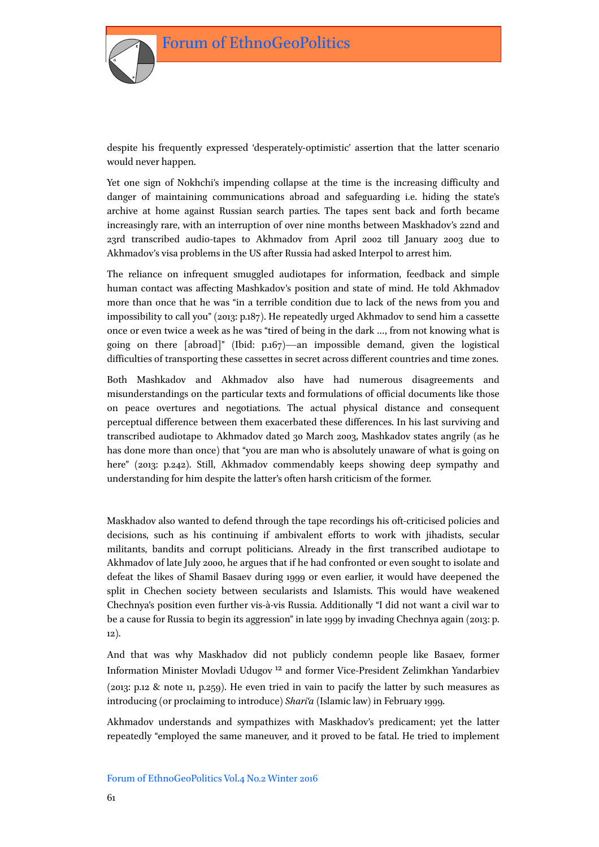

despite his frequently expressed 'desperately-optimistic' assertion that the latter scenario would never happen.

Yet one sign of Nokhchi's impending collapse at the time is the increasing difficulty and danger of maintaining communications abroad and safeguarding i.e. hiding the state's archive at home against Russian search parties. The tapes sent back and forth became increasingly rare, with an interruption of over nine months between Maskhadov's 22nd and 23rd transcribed audio-tapes to Akhmadov from April 2002 till January 2003 due to Akhmadov's visa problems in the US after Russia had asked Interpol to arrest him.

The reliance on infrequent smuggled audiotapes for information, feedback and simple human contact was affecting Mashkadov's position and state of mind. He told Akhmadov more than once that he was "in a terrible condition due to lack of the news from you and impossibility to call you" (2013: p.187). He repeatedly urged Akhmadov to send him a cassette once or even twice a week as he was "tired of being in the dark …, from not knowing what is going on there [abroad]" (Ibid: p.167)—an impossible demand, given the logistical difficulties of transporting these cassettes in secret across different countries and time zones.

Both Mashkadov and Akhmadov also have had numerous disagreements and misunderstandings on the particular texts and formulations of official documents like those on peace overtures and negotiations. The actual physical distance and consequent perceptual difference between them exacerbated these differences. In his last surviving and transcribed audiotape to Akhmadov dated 30 March 2003, Mashkadov states angrily (as he has done more than once) that "you are man who is absolutely unaware of what is going on here" (2013: p.242). Still, Akhmadov commendably keeps showing deep sympathy and understanding for him despite the latter's often harsh criticism of the former.

Maskhadov also wanted to defend through the tape recordings his oft-criticised policies and decisions, such as his continuing if ambivalent efforts to work with jihadists, secular militants, bandits and corrupt politicians. Already in the first transcribed audiotape to Akhmadov of late July 2000, he argues that if he had confronted or even sought to isolate and defeat the likes of Shamil Basaev during 1999 or even earlier, it would have deepened the split in Chechen society between secularists and Islamists. This would have weakened Chechnya's position even further vis-à-vis Russia. Additionally "I did not want a civil war to be a cause for Russia to begin its aggression" in late 1999 by invading Chechnya again (2013: p. 12).

And that was why Maskhadov did not publicly condemn people like Basaev, former Information Minister Movladi Udugov 12 and former Vice-President Zelimkhan Yandarbiev (2013: p.12 & note 11, p.259). He even tried in vain to pacify the latter by such measures as introducing (or proclaiming to introduce) *Shari'a* (Islamic law) in February 1999.

Akhmadov understands and sympathizes with Maskhadov's predicament; yet the latter repeatedly "employed the same maneuver, and it proved to be fatal. He tried to implement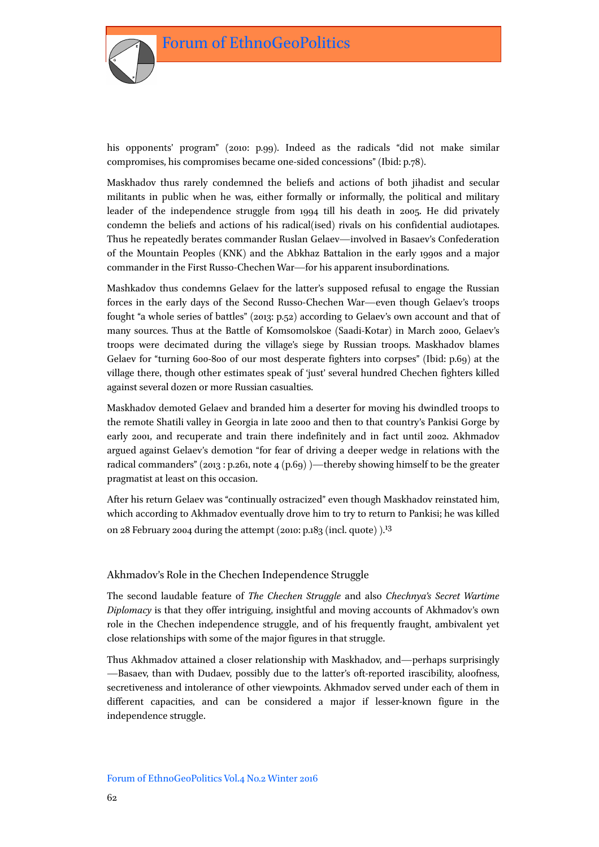

his opponents' program" (2010: p.99). Indeed as the radicals "did not make similar compromises, his compromises became one-sided concessions" (Ibid: p.78).

Maskhadov thus rarely condemned the beliefs and actions of both jihadist and secular militants in public when he was, either formally or informally, the political and military leader of the independence struggle from 1994 till his death in 2005. He did privately condemn the beliefs and actions of his radical(ised) rivals on his confidential audiotapes. Thus he repeatedly berates commander Ruslan Gelaev—involved in Basaev's Confederation of the Mountain Peoples (KNK) and the Abkhaz Battalion in the early 1990s and a major commander in the First Russo-Chechen War—for his apparent insubordinations.

Mashkadov thus condemns Gelaev for the latter's supposed refusal to engage the Russian forces in the early days of the Second Russo-Chechen War—even though Gelaev's troops fought "a whole series of battles" (2013: p.52) according to Gelaev's own account and that of many sources. Thus at the Battle of Komsomolskoe (Saadi-Kotar) in March 2000, Gelaev's troops were decimated during the village's siege by Russian troops. Maskhadov blames Gelaev for "turning 600-800 of our most desperate fighters into corpses" (Ibid: p.69) at the village there, though other estimates speak of 'just' several hundred Chechen fighters killed against several dozen or more Russian casualties.

Maskhadov demoted Gelaev and branded him a deserter for moving his dwindled troops to the remote Shatili valley in Georgia in late 2000 and then to that country's Pankisi Gorge by early 2001, and recuperate and train there indefinitely and in fact until 2002. Akhmadov argued against Gelaev's demotion "for fear of driving a deeper wedge in relations with the radical commanders" (2013 : p.261, note 4 (p.69) )—thereby showing himself to be the greater pragmatist at least on this occasion.

After his return Gelaev was "continually ostracized" even though Maskhadov reinstated him, which according to Akhmadov eventually drove him to try to return to Pankisi; he was killed on 28 February 2004 during the attempt (2010: p.183 (incl. quote)  $1^{13}$ 

## Akhmadov's Role in the Chechen Independence Struggle

The second laudable feature of *The Chechen Struggle* and also *Chechnya's Secret Wartime Diplomacy* is that they offer intriguing, insightful and moving accounts of Akhmadov's own role in the Chechen independence struggle, and of his frequently fraught, ambivalent yet close relationships with some of the major figures in that struggle.

Thus Akhmadov attained a closer relationship with Maskhadov, and—perhaps surprisingly —Basaev, than with Dudaev, possibly due to the latter's oft-reported irascibility, aloofness, secretiveness and intolerance of other viewpoints. Akhmadov served under each of them in different capacities, and can be considered a major if lesser-known figure in the independence struggle.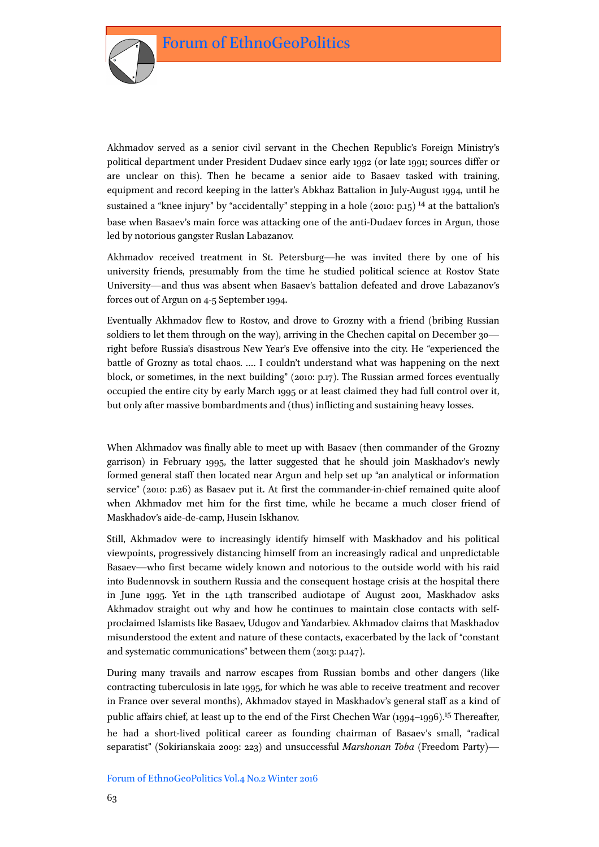

Akhmadov served as a senior civil servant in the Chechen Republic's Foreign Ministry's political department under President Dudaev since early 1992 (or late 1991; sources differ or are unclear on this). Then he became a senior aide to Basaev tasked with training, equipment and record keeping in the latter's Abkhaz Battalion in July-August 1994, until he sustained a "knee injury" by "accidentally" stepping in a hole (2010:  $p_{15}$ ) <sup>14</sup> at the battalion's base when Basaev's main force was attacking one of the anti-Dudaev forces in Argun, those led by notorious gangster Ruslan Labazanov.

Akhmadov received treatment in St. Petersburg—he was invited there by one of his university friends, presumably from the time he studied political science at Rostov State University—and thus was absent when Basaev's battalion defeated and drove Labazanov's forces out of Argun on 4-5 September 1994.

Eventually Akhmadov flew to Rostov, and drove to Grozny with a friend (bribing Russian soldiers to let them through on the way), arriving in the Chechen capital on December 30 right before Russia's disastrous New Year's Eve offensive into the city. He "experienced the battle of Grozny as total chaos. .… I couldn't understand what was happening on the next block, or sometimes, in the next building" (2010: p.17). The Russian armed forces eventually occupied the entire city by early March 1995 or at least claimed they had full control over it, but only after massive bombardments and (thus) inflicting and sustaining heavy losses.

When Akhmadov was finally able to meet up with Basaev (then commander of the Grozny garrison) in February 1995, the latter suggested that he should join Maskhadov's newly formed general staff then located near Argun and help set up "an analytical or information service" (2010: p.26) as Basaev put it. At first the commander-in-chief remained quite aloof when Akhmadov met him for the first time, while he became a much closer friend of Maskhadov's aide-de-camp, Husein Iskhanov.

Still, Akhmadov were to increasingly identify himself with Maskhadov and his political viewpoints, progressively distancing himself from an increasingly radical and unpredictable Basaev—who first became widely known and notorious to the outside world with his raid into Budennovsk in southern Russia and the consequent hostage crisis at the hospital there in June 1995. Yet in the 14th transcribed audiotape of August 2001, Maskhadov asks Akhmadov straight out why and how he continues to maintain close contacts with selfproclaimed Islamists like Basaev, Udugov and Yandarbiev. Akhmadov claims that Maskhadov misunderstood the extent and nature of these contacts, exacerbated by the lack of "constant and systematic communications" between them (2013: p.147).

During many travails and narrow escapes from Russian bombs and other dangers (like contracting tuberculosis in late 1995, for which he was able to receive treatment and recover in France over several months), Akhmadov stayed in Maskhadov's general staff as a kind of public affairs chief, at least up to the end of the First Chechen War (1994–1996).<sup>15</sup> Thereafter, he had a short-lived political career as founding chairman of Basaev's small, "radical separatist" (Sokirianskaia 2009: 223) and unsuccessful *Marshonan Toba* (Freedom Party)—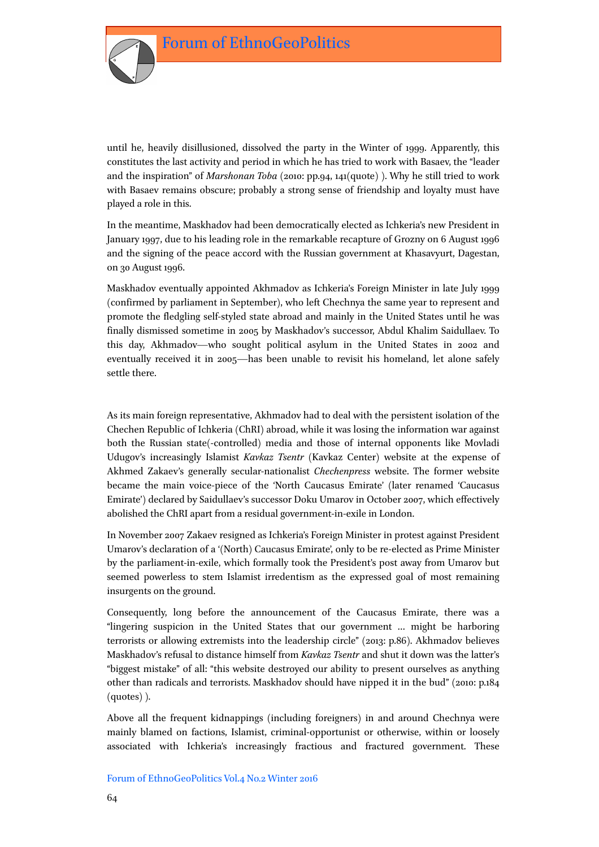

until he, heavily disillusioned, dissolved the party in the Winter of 1999. Apparently, this constitutes the last activity and period in which he has tried to work with Basaev, the "leader and the inspiration" of *Marshonan Toba* (2010: pp.94, 141(quote) ). Why he still tried to work with Basaev remains obscure; probably a strong sense of friendship and loyalty must have played a role in this.

In the meantime, Maskhadov had been democratically elected as Ichkeria's new President in January 1997, due to his leading role in the remarkable recapture of Grozny on 6 August 1996 and the signing of the peace accord with the Russian government at Khasavyurt, Dagestan, on 30 August 1996.

Maskhadov eventually appointed Akhmadov as Ichkeria's Foreign Minister in late July 1999 (confirmed by parliament in September), who left Chechnya the same year to represent and promote the fledgling self-styled state abroad and mainly in the United States until he was finally dismissed sometime in 2005 by Maskhadov's successor, Abdul Khalim Saidullaev. To this day, Akhmadov—who sought political asylum in the United States in 2002 and eventually received it in 2005—has been unable to revisit his homeland, let alone safely settle there.

As its main foreign representative, Akhmadov had to deal with the persistent isolation of the Chechen Republic of Ichkeria (ChRI) abroad, while it was losing the information war against both the Russian state(-controlled) media and those of internal opponents like Movladi Udugov's increasingly Islamist *Kavkaz Tsentr* (Kavkaz Center) website at the expense of Akhmed Zakaev's generally secular-nationalist *Chechenpress* website. The former website became the main voice-piece of the 'North Caucasus Emirate' (later renamed 'Caucasus Emirate') declared by Saidullaev's successor Doku Umarov in October 2007, which effectively abolished the ChRI apart from a residual government-in-exile in London.

In November 2007 Zakaev resigned as Ichkeria's Foreign Minister in protest against President Umarov's declaration of a '(North) Caucasus Emirate', only to be re-elected as Prime Minister by the parliament-in-exile, which formally took the President's post away from Umarov but seemed powerless to stem Islamist irredentism as the expressed goal of most remaining insurgents on the ground.

Consequently, long before the announcement of the Caucasus Emirate, there was a "lingering suspicion in the United States that our government … might be harboring terrorists or allowing extremists into the leadership circle" (2013: p.86). Akhmadov believes Maskhadov's refusal to distance himself from *Kavkaz Tsentr* and shut it down was the latter's "biggest mistake" of all: "this website destroyed our ability to present ourselves as anything other than radicals and terrorists. Maskhadov should have nipped it in the bud" (2010: p.184 (quotes) ).

Above all the frequent kidnappings (including foreigners) in and around Chechnya were mainly blamed on factions, Islamist, criminal-opportunist or otherwise, within or loosely associated with Ichkeria's increasingly fractious and fractured government. These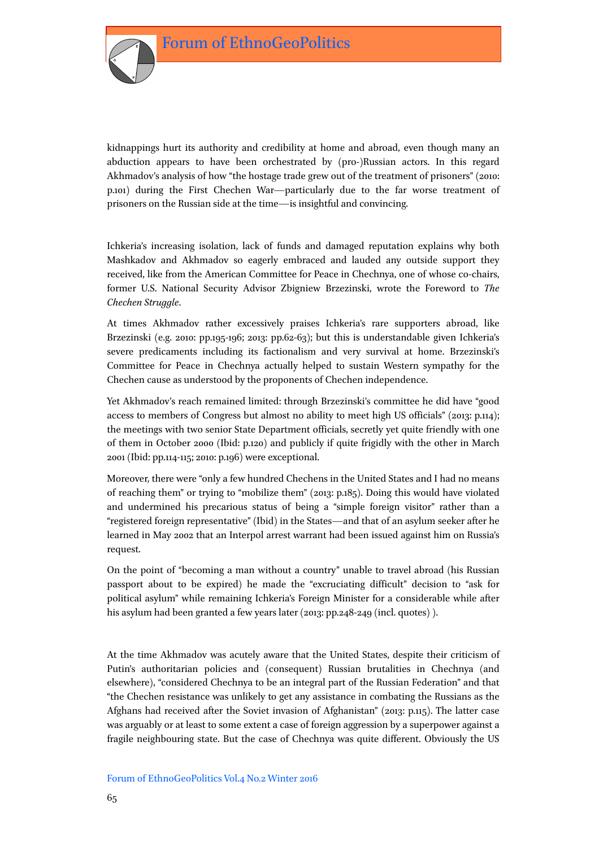

kidnappings hurt its authority and credibility at home and abroad, even though many an abduction appears to have been orchestrated by (pro-)Russian actors. In this regard Akhmadov's analysis of how "the hostage trade grew out of the treatment of prisoners" (2010: p.101) during the First Chechen War—particularly due to the far worse treatment of prisoners on the Russian side at the time—is insightful and convincing.

Ichkeria's increasing isolation, lack of funds and damaged reputation explains why both Mashkadov and Akhmadov so eagerly embraced and lauded any outside support they received, like from the American Committee for Peace in Chechnya, one of whose co-chairs, former U.S. National Security Advisor Zbigniew Brzezinski, wrote the Foreword to *The Chechen Struggle*.

At times Akhmadov rather excessively praises Ichkeria's rare supporters abroad, like Brzezinski (e.g. 2010: pp.195-196; 2013: pp.62-63); but this is understandable given Ichkeria's severe predicaments including its factionalism and very survival at home. Brzezinski's Committee for Peace in Chechnya actually helped to sustain Western sympathy for the Chechen cause as understood by the proponents of Chechen independence.

Yet Akhmadov's reach remained limited: through Brzezinski's committee he did have "good access to members of Congress but almost no ability to meet high US officials" (2013: p.114); the meetings with two senior State Department officials, secretly yet quite friendly with one of them in October 2000 (Ibid: p.120) and publicly if quite frigidly with the other in March 2001 (Ibid: pp.114-115; 2010: p.196) were exceptional.

Moreover, there were "only a few hundred Chechens in the United States and I had no means of reaching them" or trying to "mobilize them" (2013: p.185). Doing this would have violated and undermined his precarious status of being a "simple foreign visitor" rather than a "registered foreign representative" (Ibid) in the States—and that of an asylum seeker after he learned in May 2002 that an Interpol arrest warrant had been issued against him on Russia's request.

On the point of "becoming a man without a country" unable to travel abroad (his Russian passport about to be expired) he made the "excruciating difficult" decision to "ask for political asylum" while remaining Ichkeria's Foreign Minister for a considerable while after his asylum had been granted a few years later (2013: pp.248-249 (incl. quotes) ).

At the time Akhmadov was acutely aware that the United States, despite their criticism of Putin's authoritarian policies and (consequent) Russian brutalities in Chechnya (and elsewhere), "considered Chechnya to be an integral part of the Russian Federation" and that "the Chechen resistance was unlikely to get any assistance in combating the Russians as the Afghans had received after the Soviet invasion of Afghanistan" (2013: p.115). The latter case was arguably or at least to some extent a case of foreign aggression by a superpower against a fragile neighbouring state. But the case of Chechnya was quite different. Obviously the US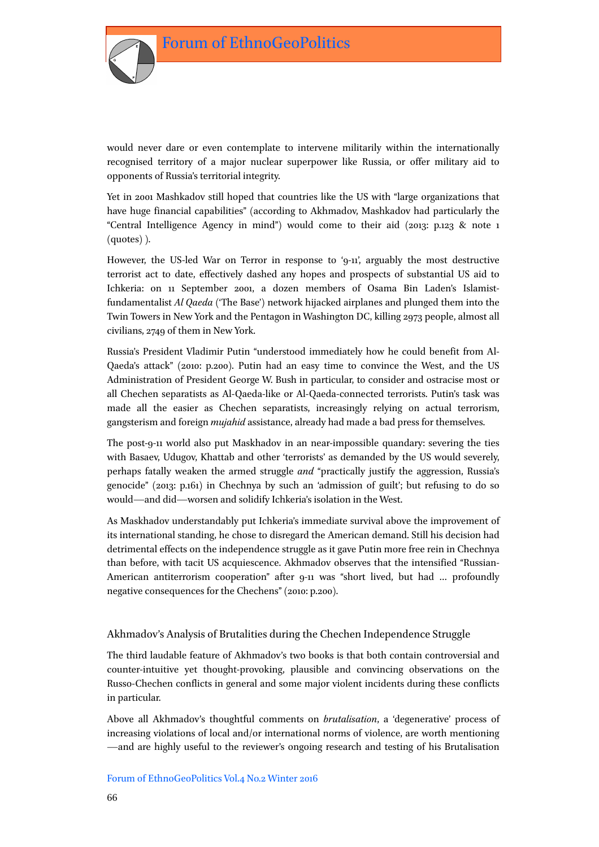

would never dare or even contemplate to intervene militarily within the internationally recognised territory of a major nuclear superpower like Russia, or offer military aid to opponents of Russia's territorial integrity.

Yet in 2001 Mashkadov still hoped that countries like the US with "large organizations that have huge financial capabilities" (according to Akhmadov, Mashkadov had particularly the "Central Intelligence Agency in mind") would come to their aid (2013: p.123 & note 1 (quotes) ).

However, the US-led War on Terror in response to '9-11', arguably the most destructive terrorist act to date, effectively dashed any hopes and prospects of substantial US aid to Ichkeria: on 11 September 2001, a dozen members of Osama Bin Laden's Islamistfundamentalist *Al Qaeda* ('The Base') network hijacked airplanes and plunged them into the Twin Towers in New York and the Pentagon in Washington DC, killing 2973 people, almost all civilians, 2749 of them in New York.

Russia's President Vladimir Putin "understood immediately how he could benefit from Al-Qaeda's attack" (2010: p.200). Putin had an easy time to convince the West, and the US Administration of President George W. Bush in particular, to consider and ostracise most or all Chechen separatists as Al-Qaeda-like or Al-Qaeda-connected terrorists. Putin's task was made all the easier as Chechen separatists, increasingly relying on actual terrorism, gangsterism and foreign *mujahid* assistance, already had made a bad press for themselves.

The post-9-11 world also put Maskhadov in an near-impossible quandary: severing the ties with Basaev, Udugov, Khattab and other 'terrorists' as demanded by the US would severely, perhaps fatally weaken the armed struggle *and* "practically justify the aggression, Russia's genocide" (2013: p.161) in Chechnya by such an 'admission of guilt'; but refusing to do so would—and did—worsen and solidify Ichkeria's isolation in the West.

As Maskhadov understandably put Ichkeria's immediate survival above the improvement of its international standing, he chose to disregard the American demand. Still his decision had detrimental effects on the independence struggle as it gave Putin more free rein in Chechnya than before, with tacit US acquiescence. Akhmadov observes that the intensified "Russian-American antiterrorism cooperation" after 9-11 was "short lived, but had … profoundly negative consequences for the Chechens" (2010: p.200).

## Akhmadov's Analysis of Brutalities during the Chechen Independence Struggle

The third laudable feature of Akhmadov's two books is that both contain controversial and counter-intuitive yet thought-provoking, plausible and convincing observations on the Russo-Chechen conflicts in general and some major violent incidents during these conflicts in particular.

Above all Akhmadov's thoughtful comments on *brutalisation*, a 'degenerative' process of increasing violations of local and/or international norms of violence, are worth mentioning —and are highly useful to the reviewer's ongoing research and testing of his Brutalisation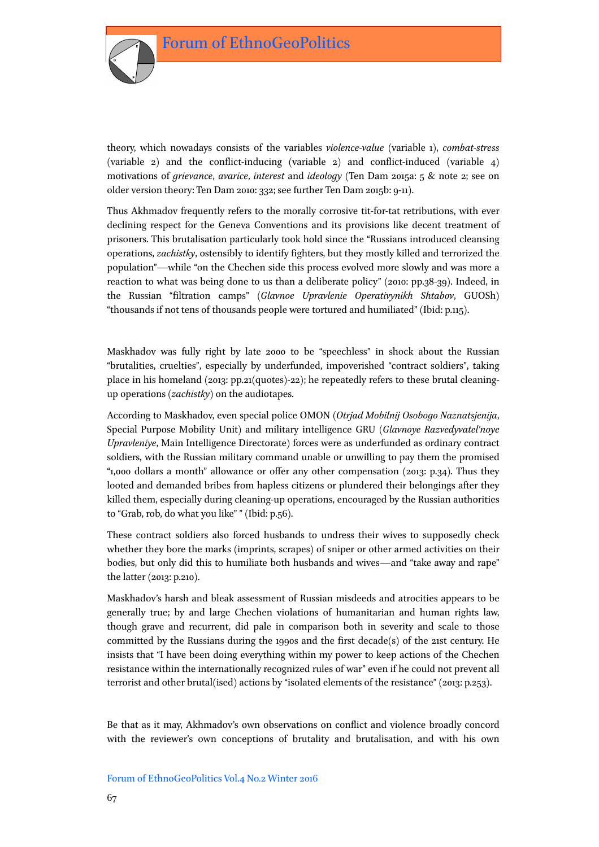

theory, which nowadays consists of the variables *violence-value* (variable 1), *combat-stress* (variable 2) and the conflict-inducing (variable 2) and conflict-induced (variable 4) motivations of *grievance*, *avarice*, *interest* and *ideology* (Ten Dam 2015a: 5 & note 2; see on older version theory: Ten Dam 2010: 332; see further Ten Dam 2015b: 9-11).

Thus Akhmadov frequently refers to the morally corrosive tit-for-tat retributions, with ever declining respect for the Geneva Conventions and its provisions like decent treatment of prisoners. This brutalisation particularly took hold since the "Russians introduced cleansing operations, *zachistky*, ostensibly to identify fighters, but they mostly killed and terrorized the population"—while "on the Chechen side this process evolved more slowly and was more a reaction to what was being done to us than a deliberate policy" (2010: pp.38-39). Indeed, in the Russian "filtration camps" (*Glavnoe Upravlenie Operativynikh Shtabov*, GUOSh) "thousands if not tens of thousands people were tortured and humiliated" (Ibid: p.115).

Maskhadov was fully right by late 2000 to be "speechless" in shock about the Russian "brutalities, cruelties", especially by underfunded, impoverished "contract soldiers", taking place in his homeland (2013: pp.21(quotes)-22); he repeatedly refers to these brutal cleaningup operations (*zachistky*) on the audiotapes.

According to Maskhadov, even special police OMON (*Otrjad Mobilnij Osobogo Naznatsjenija*, Special Purpose Mobility Unit) and military intelligence GRU (*Glavnoye Razvedyvatel'noye Upravleniye*, Main Intelligence Directorate) forces were as underfunded as ordinary contract soldiers, with the Russian military command unable or unwilling to pay them the promised "1,000 dollars a month" allowance or offer any other compensation (2013: p.34). Thus they looted and demanded bribes from hapless citizens or plundered their belongings after they killed them, especially during cleaning-up operations, encouraged by the Russian authorities to "Grab, rob, do what you like" " (Ibid: p.56).

These contract soldiers also forced husbands to undress their wives to supposedly check whether they bore the marks (imprints, scrapes) of sniper or other armed activities on their bodies, but only did this to humiliate both husbands and wives—and "take away and rape" the latter (2013: p.210).

Maskhadov's harsh and bleak assessment of Russian misdeeds and atrocities appears to be generally true; by and large Chechen violations of humanitarian and human rights law, though grave and recurrent, did pale in comparison both in severity and scale to those committed by the Russians during the 1990s and the first decade(s) of the 21st century. He insists that "I have been doing everything within my power to keep actions of the Chechen resistance within the internationally recognized rules of war" even if he could not prevent all terrorist and other brutal(ised) actions by "isolated elements of the resistance" (2013: p.253).

Be that as it may, Akhmadov's own observations on conflict and violence broadly concord with the reviewer's own conceptions of brutality and brutalisation, and with his own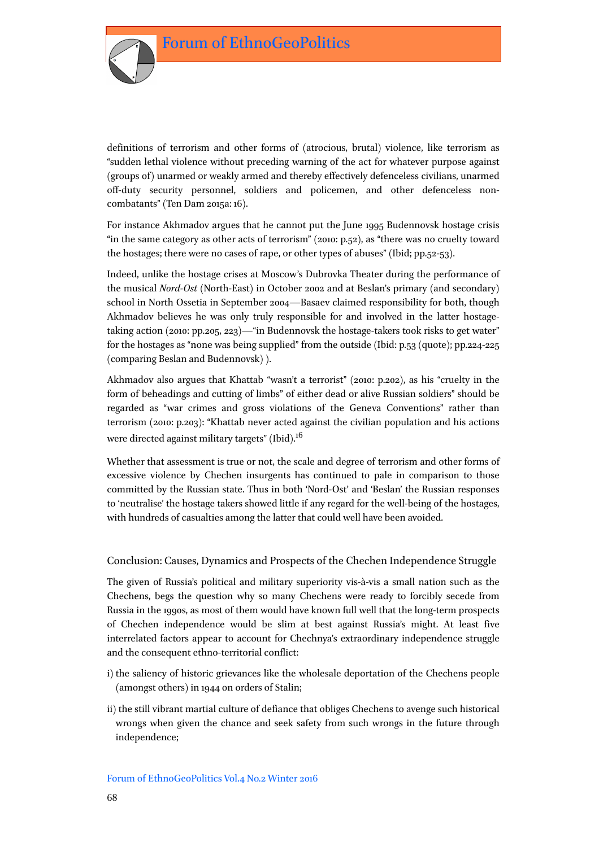

definitions of terrorism and other forms of (atrocious, brutal) violence, like terrorism as "sudden lethal violence without preceding warning of the act for whatever purpose against (groups of) unarmed or weakly armed and thereby effectively defenceless civilians, unarmed off-duty security personnel, soldiers and policemen, and other defenceless noncombatants" (Ten Dam 2015a: 16).

For instance Akhmadov argues that he cannot put the June 1995 Budennovsk hostage crisis "in the same category as other acts of terrorism" (2010: p.52), as "there was no cruelty toward the hostages; there were no cases of rape, or other types of abuses" (Ibid; pp.52-53).

Indeed, unlike the hostage crises at Moscow's Dubrovka Theater during the performance of the musical *Nord-Ost* (North-East) in October 2002 and at Beslan's primary (and secondary) school in North Ossetia in September 2004—Basaev claimed responsibility for both, though Akhmadov believes he was only truly responsible for and involved in the latter hostagetaking action (2010: pp.205, 223)—"in Budennovsk the hostage-takers took risks to get water" for the hostages as "none was being supplied" from the outside (Ibid: p.53 (quote); pp.224-225 (comparing Beslan and Budennovsk) ).

Akhmadov also argues that Khattab "wasn't a terrorist" (2010: p.202), as his "cruelty in the form of beheadings and cutting of limbs" of either dead or alive Russian soldiers" should be regarded as "war crimes and gross violations of the Geneva Conventions" rather than terrorism (2010: p.203): "Khattab never acted against the civilian population and his actions were directed against military targets" (Ibid).<sup>16</sup>

Whether that assessment is true or not, the scale and degree of terrorism and other forms of excessive violence by Chechen insurgents has continued to pale in comparison to those committed by the Russian state. Thus in both 'Nord-Ost' and 'Beslan' the Russian responses to 'neutralise' the hostage takers showed little if any regard for the well-being of the hostages, with hundreds of casualties among the latter that could well have been avoided.

## Conclusion: Causes, Dynamics and Prospects of the Chechen Independence Struggle

The given of Russia's political and military superiority vis-à-vis a small nation such as the Chechens, begs the question why so many Chechens were ready to forcibly secede from Russia in the 1990s, as most of them would have known full well that the long-term prospects of Chechen independence would be slim at best against Russia's might. At least five interrelated factors appear to account for Chechnya's extraordinary independence struggle and the consequent ethno-territorial conflict:

- i) the saliency of historic grievances like the wholesale deportation of the Chechens people (amongst others) in 1944 on orders of Stalin;
- ii) the still vibrant martial culture of defiance that obliges Chechens to avenge such historical wrongs when given the chance and seek safety from such wrongs in the future through independence;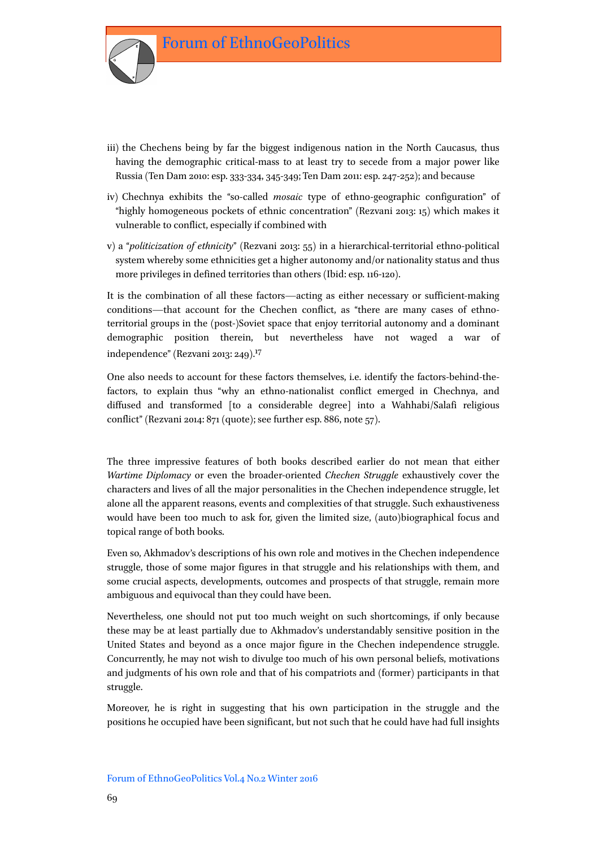

- iii) the Chechens being by far the biggest indigenous nation in the North Caucasus, thus having the demographic critical-mass to at least try to secede from a major power like Russia (Ten Dam 2010: esp. 333-334, 345-349; Ten Dam 2011: esp. 247-252); and because
- iv) Chechnya exhibits the "so-called *mosaic* type of ethno-geographic configuration" of "highly homogeneous pockets of ethnic concentration" (Rezvani 2013: 15) which makes it vulnerable to conflict, especially if combined with
- v) a "*politicization of ethnicity*" (Rezvani 2013: 55) in a hierarchical-territorial ethno-political system whereby some ethnicities get a higher autonomy and/or nationality status and thus more privileges in defined territories than others (Ibid: esp. 116-120).

It is the combination of all these factors—acting as either necessary or sufficient-making conditions—that account for the Chechen conflict, as "there are many cases of ethnoterritorial groups in the (post-)Soviet space that enjoy territorial autonomy and a dominant demographic position therein, but nevertheless have not waged a war of independence" (Rezvani 2013: 249).17

One also needs to account for these factors themselves, i.e. identify the factors-behind-thefactors, to explain thus "why an ethno-nationalist conflict emerged in Chechnya, and diffused and transformed [to a considerable degree] into a Wahhabi/Salafi religious conflict" (Rezvani 2014: 871 (quote); see further esp. 886, note 57).

The three impressive features of both books described earlier do not mean that either *Wartime Diplomacy* or even the broader-oriented *Chechen Struggle* exhaustively cover the characters and lives of all the major personalities in the Chechen independence struggle, let alone all the apparent reasons, events and complexities of that struggle. Such exhaustiveness would have been too much to ask for, given the limited size, (auto)biographical focus and topical range of both books.

Even so, Akhmadov's descriptions of his own role and motives in the Chechen independence struggle, those of some major figures in that struggle and his relationships with them, and some crucial aspects, developments, outcomes and prospects of that struggle, remain more ambiguous and equivocal than they could have been.

Nevertheless, one should not put too much weight on such shortcomings, if only because these may be at least partially due to Akhmadov's understandably sensitive position in the United States and beyond as a once major figure in the Chechen independence struggle. Concurrently, he may not wish to divulge too much of his own personal beliefs, motivations and judgments of his own role and that of his compatriots and (former) participants in that struggle.

Moreover, he is right in suggesting that his own participation in the struggle and the positions he occupied have been significant, but not such that he could have had full insights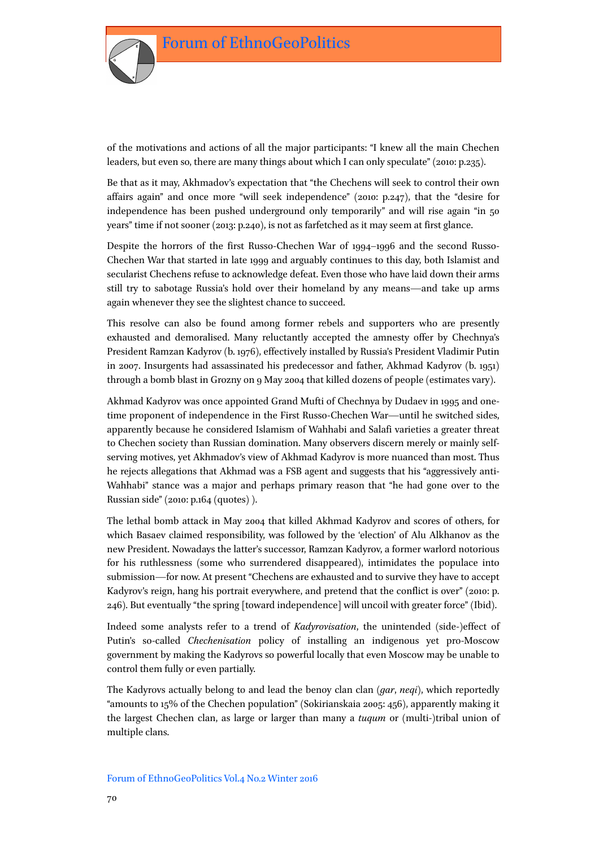

of the motivations and actions of all the major participants: "I knew all the main Chechen leaders, but even so, there are many things about which I can only speculate" (2010: p.235).

Be that as it may, Akhmadov's expectation that "the Chechens will seek to control their own affairs again" and once more "will seek independence" (2010: p.247), that the "desire for independence has been pushed underground only temporarily" and will rise again "in 50 years" time if not sooner (2013: p.240), is not as farfetched as it may seem at first glance.

Despite the horrors of the first Russo-Chechen War of 1994–1996 and the second Russo-Chechen War that started in late 1999 and arguably continues to this day, both Islamist and secularist Chechens refuse to acknowledge defeat. Even those who have laid down their arms still try to sabotage Russia's hold over their homeland by any means—and take up arms again whenever they see the slightest chance to succeed.

This resolve can also be found among former rebels and supporters who are presently exhausted and demoralised. Many reluctantly accepted the amnesty offer by Chechnya's President Ramzan Kadyrov (b. 1976), effectively installed by Russia's President Vladimir Putin in 2007. Insurgents had assassinated his predecessor and father, Akhmad Kadyrov (b. 1951) through a bomb blast in Grozny on 9 May 2004 that killed dozens of people (estimates vary).

Akhmad Kadyrov was once appointed Grand Mufti of Chechnya by Dudaev in 1995 and onetime proponent of independence in the First Russo-Chechen War—until he switched sides, apparently because he considered Islamism of Wahhabi and Salafi varieties a greater threat to Chechen society than Russian domination. Many observers discern merely or mainly selfserving motives, yet Akhmadov's view of Akhmad Kadyrov is more nuanced than most. Thus he rejects allegations that Akhmad was a FSB agent and suggests that his "aggressively anti-Wahhabi" stance was a major and perhaps primary reason that "he had gone over to the Russian side" (2010: p.164 (quotes) ).

The lethal bomb attack in May 2004 that killed Akhmad Kadyrov and scores of others, for which Basaev claimed responsibility, was followed by the 'election' of Alu Alkhanov as the new President. Nowadays the latter's successor, Ramzan Kadyrov, a former warlord notorious for his ruthlessness (some who surrendered disappeared), intimidates the populace into submission—for now. At present "Chechens are exhausted and to survive they have to accept Kadyrov's reign, hang his portrait everywhere, and pretend that the conflict is over" (2010: p. 246). But eventually "the spring [toward independence] will uncoil with greater force" (Ibid).

Indeed some analysts refer to a trend of *Kadyrovisation*, the unintended (side-)effect of Putin's so-called *Chechenisation* policy of installing an indigenous yet pro-Moscow government by making the Kadyrovs so powerful locally that even Moscow may be unable to control them fully or even partially.

The Kadyrovs actually belong to and lead the benoy clan clan (*gar*, *neqi*), which reportedly "amounts to 15% of the Chechen population" (Sokirianskaia 2005: 456), apparently making it the largest Chechen clan, as large or larger than many a *tuqum* or (multi-)tribal union of multiple clans.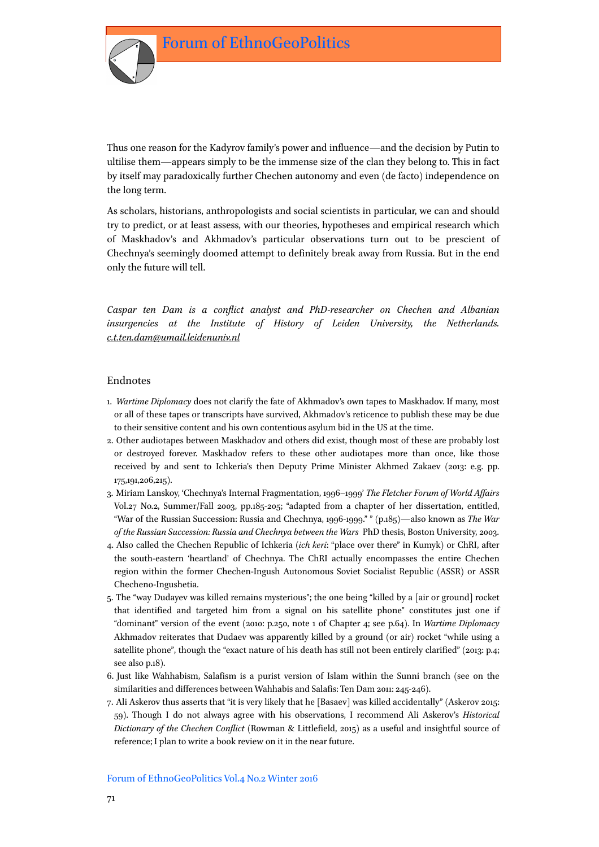Thus one reason for the Kadyrov family's power and influence—and the decision by Putin to ultilise them—appears simply to be the immense size of the clan they belong to. This in fact by itself may paradoxically further Chechen autonomy and even (de facto) independence on the long term.

As scholars, historians, anthropologists and social scientists in particular, we can and should try to predict, or at least assess, with our theories, hypotheses and empirical research which of Maskhadov's and Akhmadov's particular observations turn out to be prescient of Chechnya's seemingly doomed attempt to definitely break away from Russia. But in the end only the future will tell.

*Caspar ten Dam is a conflict analyst and PhD-researcher on Chechen and Albanian insurgencies at the Institute of History of Leiden University, the Netherlands. [c.t.ten.dam@umail.leidenuniv.nl](mailto:c.t.ten.dam@umail.leidenuniv.nl)*

#### Endnotes

- 1. *Wartime Diplomacy* does not clarify the fate of Akhmadov's own tapes to Maskhadov. If many, most or all of these tapes or transcripts have survived, Akhmadov's reticence to publish these may be due to their sensitive content and his own contentious asylum bid in the US at the time.
- 2. Other audiotapes between Maskhadov and others did exist, though most of these are probably lost or destroyed forever. Maskhadov refers to these other audiotapes more than once, like those received by and sent to Ichkeria's then Deputy Prime Minister Akhmed Zakaev (2013: e.g. pp. 175,191,206,215).
- 3. Miriam Lanskoy, 'Chechnya's Internal Fragmentation, 1996–1999' *The Fletcher Forum of World Affairs* Vol.27 No.2, Summer/Fall 2003, pp.185-205; "adapted from a chapter of her dissertation, entitled, "War of the Russian Succession: Russia and Chechnya, 1996-1999." " (p.185)—also known as *The War of the Russian Succession: Russia and Chechnya between the Wars* PhD thesis, Boston University, 2003.
- 4. Also called the Chechen Republic of Ichkeria (*ich keri*: "place over there" in Kumyk) or ChRI, after the south-eastern 'heartland' of Chechnya. The ChRI actually encompasses the entire Chechen region within the former Chechen-Ingush Autonomous Soviet Socialist Republic (ASSR) or ASSR Checheno-Ingushetia.
- 5. The "way Dudayev was killed remains mysterious"; the one being "killed by a [air or ground] rocket that identified and targeted him from a signal on his satellite phone" constitutes just one if "dominant" version of the event (2010: p.250, note 1 of Chapter 4; see p.64). In *Wartime Diplomacy* Akhmadov reiterates that Dudaev was apparently killed by a ground (or air) rocket "while using a satellite phone", though the "exact nature of his death has still not been entirely clarified" (2013: p.4; see also p.18).
- 6. Just like Wahhabism, Salafism is a purist version of Islam within the Sunni branch (see on the similarities and differences between Wahhabis and Salafis: Ten Dam 2011: 245-246).
- 7. Ali Askerov thus asserts that "it is very likely that he [Basaev] was killed accidentally" (Askerov 2015: 59). Though I do not always agree with his observations, I recommend Ali Askerov's *Historical Dictionary of the Chechen Conflict* (Rowman & Littlefield, 2015) as a useful and insightful source of reference; I plan to write a book review on it in the near future.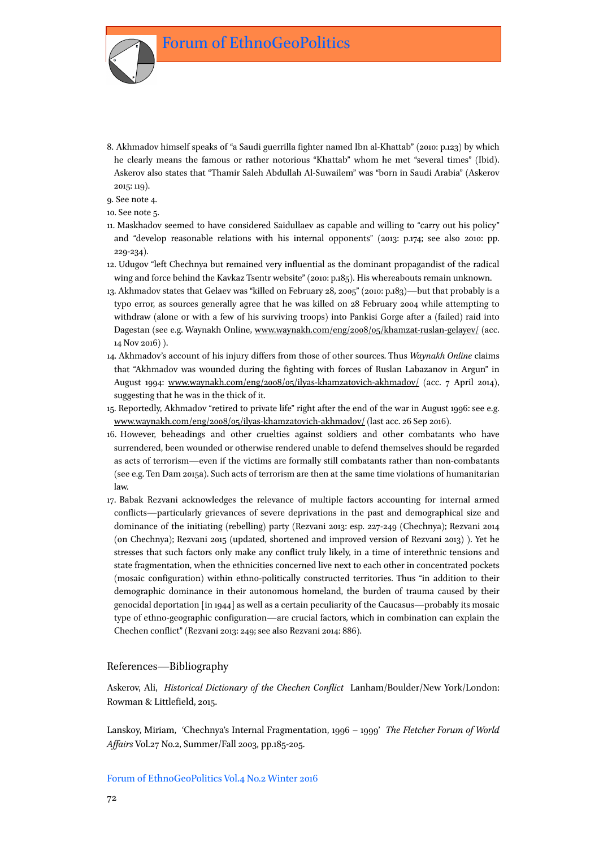8. Akhmadov himself speaks of "a Saudi guerrilla fighter named Ibn al-Khattab" (2010: p.123) by which he clearly means the famous or rather notorious "Khattab" whom he met "several times" (Ibid). Askerov also states that "Thamir Saleh Abdullah Al-Suwailem" was "born in Saudi Arabia" (Askerov 2015: 119).

9. See note 4.

10. See note 5.

- 11. Maskhadov seemed to have considered Saidullaev as capable and willing to "carry out his policy" and "develop reasonable relations with his internal opponents" (2013: p.174; see also 2010: pp. 229-234).
- 12. Udugov "left Chechnya but remained very influential as the dominant propagandist of the radical wing and force behind the Kavkaz Tsentr website" (2010: p.185). His whereabouts remain unknown.
- 13. Akhmadov states that Gelaev was "killed on February 28, 2005" (2010: p.183)—but that probably is a typo error, as sources generally agree that he was killed on 28 February 2004 while attempting to withdraw (alone or with a few of his surviving troops) into Pankisi Gorge after a (failed) raid into Dagestan (see e.g. Waynakh Online, [www.waynakh.com/eng/2008/05/khamzat-ruslan-gelayev/](http://www.waynakh.com/eng/2008/05/khamzat-ruslan-gelayev/) (acc. 14 Nov 2016) ).
- 14. Akhmadov's account of his injury differs from those of other sources. Thus *Waynakh Online* claims that "Akhmadov was wounded during the fighting with forces of Ruslan Labazanov in Argun" in August 1994: [www.waynakh.com/eng/2008/05/ilyas-khamzatovich-akhmadov/](http://www.waynakh.com/eng/2008/05/ilyas-khamzatovich-akhmadov/) (acc. 7 April 2014), suggesting that he was in the thick of it.
- 15. Reportedly, Akhmadov "retired to private life" right after the end of the war in August 1996: see e.g. [www.waynakh.com/eng/2008/05/ilyas-khamzatovich-akhmadov/](http://www.waynakh.com/eng/2008/05/ilyas-khamzatovich-akhmadov/) (last acc. 26 Sep 2016).
- 16. However, beheadings and other cruelties against soldiers and other combatants who have surrendered, been wounded or otherwise rendered unable to defend themselves should be regarded as acts of terrorism—even if the victims are formally still combatants rather than non-combatants (see e.g. Ten Dam 2015a). Such acts of terrorism are then at the same time violations of humanitarian law.
- 17. Babak Rezvani acknowledges the relevance of multiple factors accounting for internal armed conflicts—particularly grievances of severe deprivations in the past and demographical size and dominance of the initiating (rebelling) party (Rezvani 2013: esp. 227-249 (Chechnya); Rezvani 2014 (on Chechnya); Rezvani 2015 (updated, shortened and improved version of Rezvani 2013) ). Yet he stresses that such factors only make any conflict truly likely, in a time of interethnic tensions and state fragmentation, when the ethnicities concerned live next to each other in concentrated pockets (mosaic configuration) within ethno-politically constructed territories. Thus "in addition to their demographic dominance in their autonomous homeland, the burden of trauma caused by their genocidal deportation [in 1944] as well as a certain peculiarity of the Caucasus—probably its mosaic type of ethno-geographic configuration—are crucial factors, which in combination can explain the Chechen conflict" (Rezvani 2013: 249; see also Rezvani 2014: 886).

#### References—Bibliography

Askerov, Ali, *Historical Dictionary of the Chechen Conflict* Lanham/Boulder/New York/London: Rowman & Littlefield, 2015.

Lanskoy, Miriam, 'Chechnya's Internal Fragmentation, 1996 – 1999' *The Fletcher Forum of World Affairs* Vol.27 No.2, Summer/Fall 2003, pp.185-205.